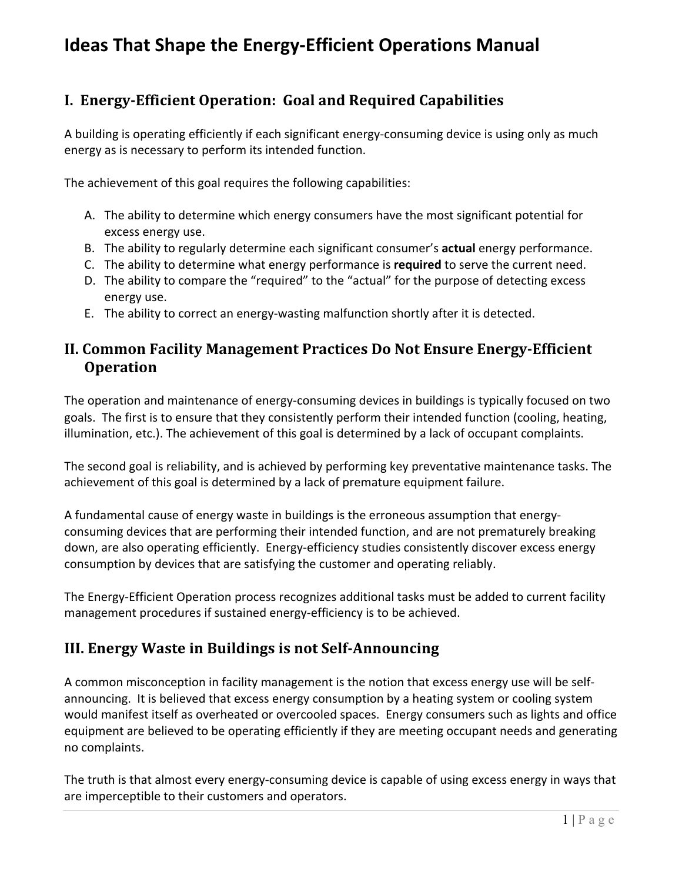# **Ideas That Shape the Energy-Efficient Operations Manual**

## **I. Energy-Efficient Operation: Goal and Required Capabilities**

A building is operating efficiently if each significant energy-consuming device is using only as much energy as is necessary to perform its intended function.

The achievement of this goal requires the following capabilities:

- A. The ability to determine which energy consumers have the most significant potential for excess energy use.
- B. The ability to regularly determine each significant consumer's **actual** energy performance.
- C. The ability to determine what energy performance is **required** to serve the current need.
- D. The ability to compare the "required" to the "actual" for the purpose of detecting excess energy use.
- E. The ability to correct an energy-wasting malfunction shortly after it is detected.

## **II. Common Facility Management Practices Do Not Ensure Energy-Efficient Operation**

The operation and maintenance of energy-consuming devices in buildings is typically focused on two goals. The first is to ensure that they consistently perform their intended function (cooling, heating, illumination, etc.). The achievement of this goal is determined by a lack of occupant complaints.

The second goal is reliability, and is achieved by performing key preventative maintenance tasks. The achievement of this goal is determined by a lack of premature equipment failure.

A fundamental cause of energy waste in buildings is the erroneous assumption that energyconsuming devices that are performing their intended function, and are not prematurely breaking down, are also operating efficiently. Energy-efficiency studies consistently discover excess energy consumption by devices that are satisfying the customer and operating reliably.

The Energy-Efficient Operation process recognizes additional tasks must be added to current facility management procedures if sustained energy-efficiency is to be achieved.

### **III. Energy Waste in Buildings is not Self-Announcing**

A common misconception in facility management is the notion that excess energy use will be selfannouncing. It is believed that excess energy consumption by a heating system or cooling system would manifest itself as overheated or overcooled spaces. Energy consumers such as lights and office equipment are believed to be operating efficiently if they are meeting occupant needs and generating no complaints.

The truth is that almost every energy-consuming device is capable of using excess energy in ways that are imperceptible to their customers and operators.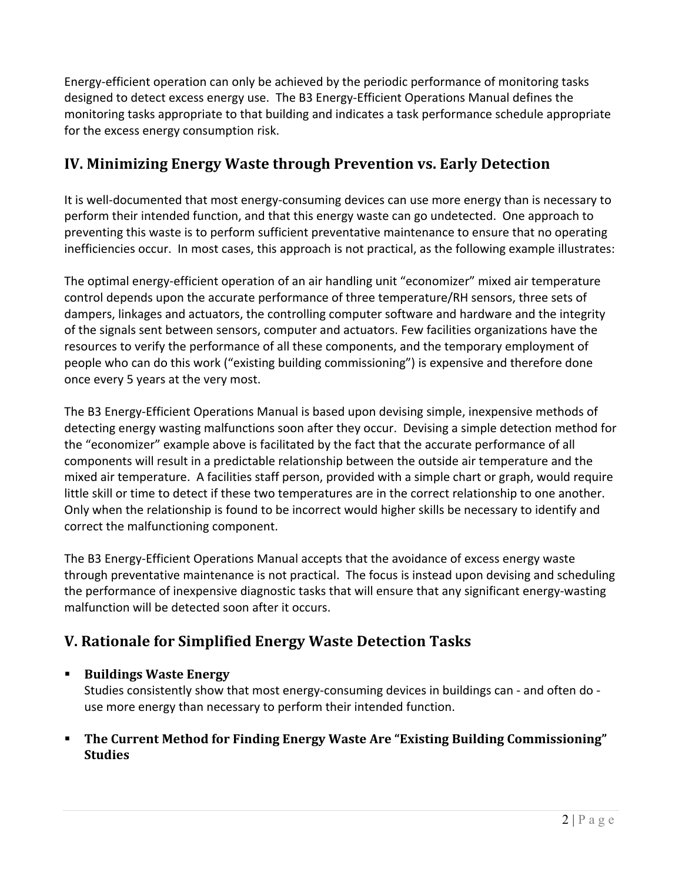Energy-efficient operation can only be achieved by the periodic performance of monitoring tasks designed to detect excess energy use. The B3 Energy-Efficient Operations Manual defines the monitoring tasks appropriate to that building and indicates a task performance schedule appropriate for the excess energy consumption risk.

# **IV. Minimizing Energy Waste through Prevention vs. Early Detection**

It is well-documented that most energy-consuming devices can use more energy than is necessary to perform their intended function, and that this energy waste can go undetected. One approach to preventing this waste is to perform sufficient preventative maintenance to ensure that no operating inefficiencies occur. In most cases, this approach is not practical, as the following example illustrates:

The optimal energy-efficient operation of an air handling unit "economizer" mixed air temperature control depends upon the accurate performance of three temperature/RH sensors, three sets of dampers, linkages and actuators, the controlling computer software and hardware and the integrity of the signals sent between sensors, computer and actuators. Few facilities organizations have the resources to verify the performance of all these components, and the temporary employment of people who can do this work ("existing building commissioning") is expensive and therefore done once every 5 years at the very most.

The B3 Energy-Efficient Operations Manual is based upon devising simple, inexpensive methods of detecting energy wasting malfunctions soon after they occur. Devising a simple detection method for the "economizer" example above is facilitated by the fact that the accurate performance of all components will result in a predictable relationship between the outside air temperature and the mixed air temperature. A facilities staff person, provided with a simple chart or graph, would require little skill or time to detect if these two temperatures are in the correct relationship to one another. Only when the relationship is found to be incorrect would higher skills be necessary to identify and correct the malfunctioning component.

The B3 Energy-Efficient Operations Manual accepts that the avoidance of excess energy waste through preventative maintenance is not practical. The focus is instead upon devising and scheduling the performance of inexpensive diagnostic tasks that will ensure that any significant energy-wasting malfunction will be detected soon after it occurs.

# **V. Rationale for Simplified Energy Waste Detection Tasks**

#### ■ Buildings Waste Energy

Studies consistently show that most energy-consuming devices in buildings can - and often do use more energy than necessary to perform their intended function.

**Example 1 The Current Method for Finding Energy Waste Are "Existing Building Commissioning" Studies**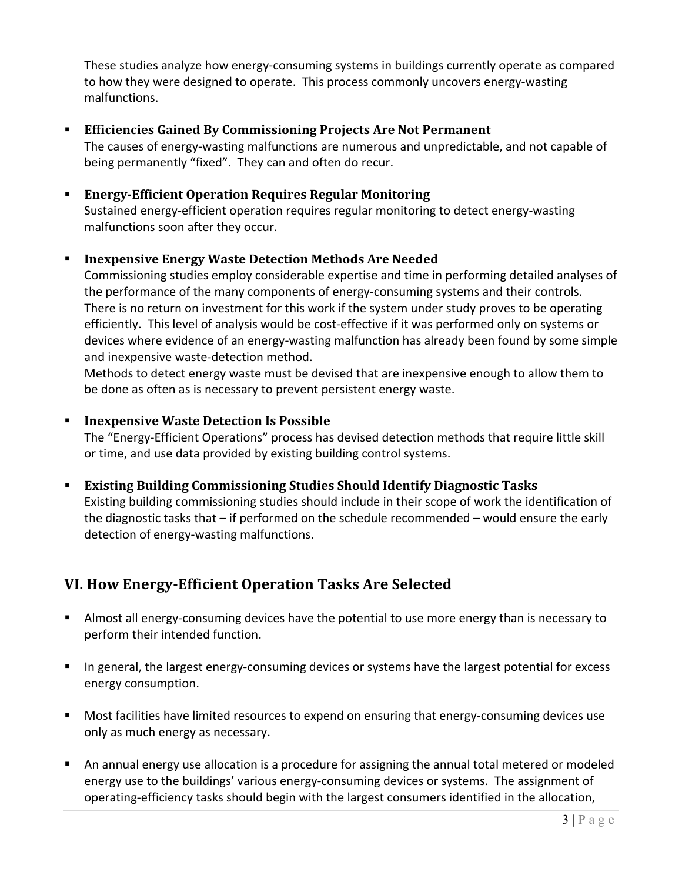These studies analyze how energy-consuming systems in buildings currently operate as compared to how they were designed to operate. This process commonly uncovers energy-wasting malfunctions.

#### **Efficiencies Gained By Commissioning Projects Are Not Permanent**

The causes of energy-wasting malfunctions are numerous and unpredictable, and not capable of being permanently "fixed". They can and often do recur.

## ■ Energy-Efficient Operation Requires Regular Monitoring

Sustained energy-efficient operation requires regular monitoring to detect energy-wasting malfunctions soon after they occur.

#### ■ **Inexpensive Energy Waste Detection Methods Are Needed**

Commissioning studies employ considerable expertise and time in performing detailed analyses of the performance of the many components of energy-consuming systems and their controls. There is no return on investment for this work if the system under study proves to be operating efficiently. This level of analysis would be cost-effective if it was performed only on systems or devices where evidence of an energy-wasting malfunction has already been found by some simple and inexpensive waste-detection method.

Methods to detect energy waste must be devised that are inexpensive enough to allow them to be done as often as is necessary to prevent persistent energy waste.

#### ■ Inexpensive Waste Detection Is Possible

The "Energy-Efficient Operations" process has devised detection methods that require little skill or time, and use data provided by existing building control systems.

#### **Existing Building Commissioning Studies Should Identify Diagnostic Tasks**

Existing building commissioning studies should include in their scope of work the identification of the diagnostic tasks that  $-$  if performed on the schedule recommended  $-$  would ensure the early detection of energy-wasting malfunctions.

### **VI. How Energy-Efficient Operation Tasks Are Selected**

- Almost all energy-consuming devices have the potential to use more energy than is necessary to perform their intended function.
- In general, the largest energy-consuming devices or systems have the largest potential for excess energy consumption.
- Most facilities have limited resources to expend on ensuring that energy-consuming devices use only as much energy as necessary.
- An annual energy use allocation is a procedure for assigning the annual total metered or modeled energy use to the buildings' various energy-consuming devices or systems. The assignment of operating-efficiency tasks should begin with the largest consumers identified in the allocation,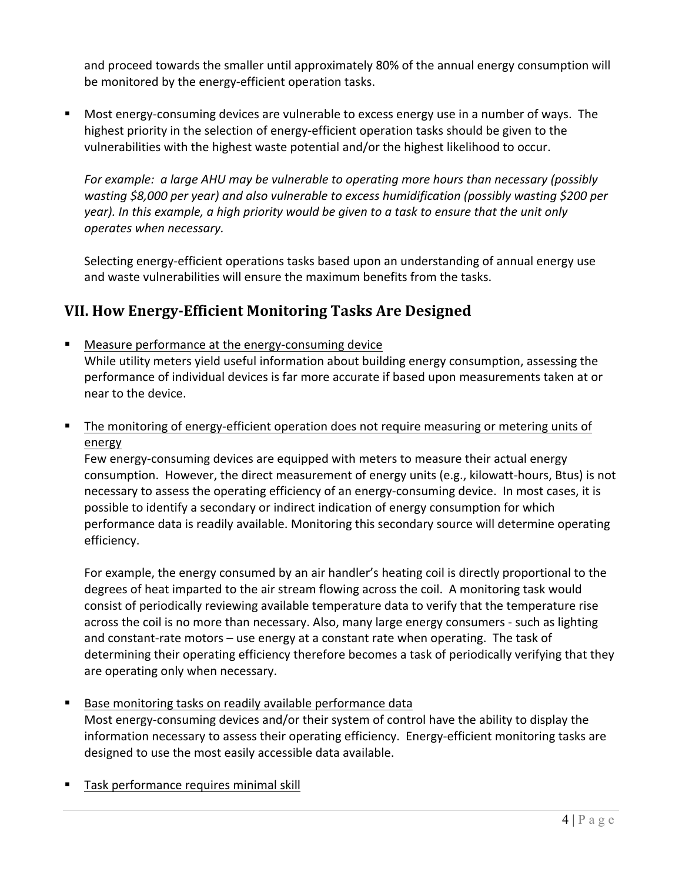and proceed towards the smaller until approximately 80% of the annual energy consumption will be monitored by the energy-efficient operation tasks.

■ Most energy-consuming devices are vulnerable to excess energy use in a number of ways. The highest priority in the selection of energy-efficient operation tasks should be given to the vulnerabilities with the highest waste potential and/or the highest likelihood to occur.

*For* example: a large AHU may be vulnerable to operating more hours than necessary (possibly *wasting* \$8,000 per year) and also vulnerable to excess humidification (possibly wasting \$200 per *year*). In this example, a high priority would be given to a task to ensure that the unit only *operates when necessary.*

Selecting energy-efficient operations tasks based upon an understanding of annual energy use and waste vulnerabilities will ensure the maximum benefits from the tasks.

# **VII. How Energy-Efficient Monitoring Tasks Are Designed**

- Measure performance at the energy-consuming device While utility meters yield useful information about building energy consumption, assessing the performance of individual devices is far more accurate if based upon measurements taken at or near to the device.
- The monitoring of energy-efficient operation does not require measuring or metering units of energy

Few energy-consuming devices are equipped with meters to measure their actual energy consumption. However, the direct measurement of energy units (e.g., kilowatt-hours, Btus) is not necessary to assess the operating efficiency of an energy-consuming device. In most cases, it is possible to identify a secondary or indirect indication of energy consumption for which performance data is readily available. Monitoring this secondary source will determine operating efficiency.

For example, the energy consumed by an air handler's heating coil is directly proportional to the degrees of heat imparted to the air stream flowing across the coil. A monitoring task would consist of periodically reviewing available temperature data to verify that the temperature rise across the coil is no more than necessary. Also, many large energy consumers - such as lighting and constant-rate motors  $-$  use energy at a constant rate when operating. The task of determining their operating efficiency therefore becomes a task of periodically verifying that they are operating only when necessary.

■ Base monitoring tasks on readily available performance data

Most energy-consuming devices and/or their system of control have the ability to display the information necessary to assess their operating efficiency. Energy-efficient monitoring tasks are designed to use the most easily accessible data available.

■ Task performance requires minimal skill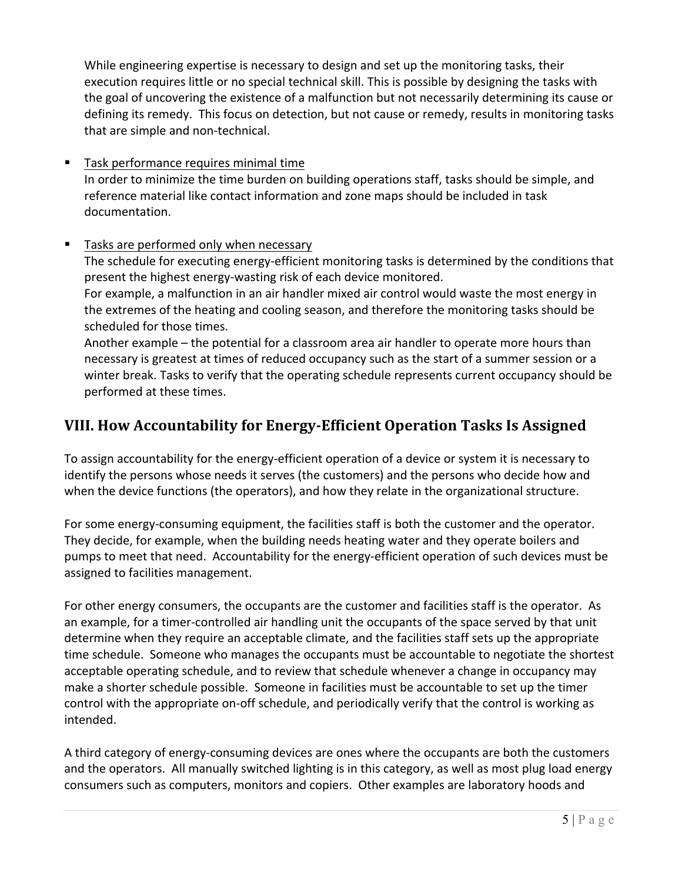While engineering expertise is necessary to design and set up the monitoring tasks, their execution requires little or no special technical skill. This is possible by designing the tasks with the goal of uncovering the existence of a malfunction but not necessarily determining its cause or defining its remedy. This focus on detection, but not cause or remedy, results in monitoring tasks that are simple and non-technical.

■ Task performance requires minimal time In order to minimize the time burden on building operations staff, tasks should be simple, and reference material like contact information and zone maps should be included in task documentation.

#### ■ Tasks are performed only when necessary

The schedule for executing energy-efficient monitoring tasks is determined by the conditions that present the highest energy-wasting risk of each device monitored. For example, a malfunction in an air handler mixed air control would waste the most energy in the extremes of the heating and cooling season, and therefore the monitoring tasks should be scheduled for those times.

Another example – the potential for a classroom area air handler to operate more hours than necessary is greatest at times of reduced occupancy such as the start of a summer session or a winter break. Tasks to verify that the operating schedule represents current occupancy should be performed at these times.

# **VIII. How Accountability for Energy-Efficient Operation Tasks Is Assigned**

To assign accountability for the energy-efficient operation of a device or system it is necessary to identify the persons whose needs it serves (the customers) and the persons who decide how and when the device functions (the operators), and how they relate in the organizational structure.

For some energy-consuming equipment, the facilities staff is both the customer and the operator. They decide, for example, when the building needs heating water and they operate boilers and pumps to meet that need. Accountability for the energy-efficient operation of such devices must be assigned to facilities management.

For other energy consumers, the occupants are the customer and facilities staff is the operator. As an example, for a timer-controlled air handling unit the occupants of the space served by that unit determine when they require an acceptable climate, and the facilities staff sets up the appropriate time schedule. Someone who manages the occupants must be accountable to negotiate the shortest acceptable operating schedule, and to review that schedule whenever a change in occupancy may make a shorter schedule possible. Someone in facilities must be accountable to set up the timer control with the appropriate on-off schedule, and periodically verify that the control is working as intended.

A third category of energy-consuming devices are ones where the occupants are both the customers and the operators. All manually switched lighting is in this category, as well as most plug load energy consumers such as computers, monitors and copiers. Other examples are laboratory hoods and